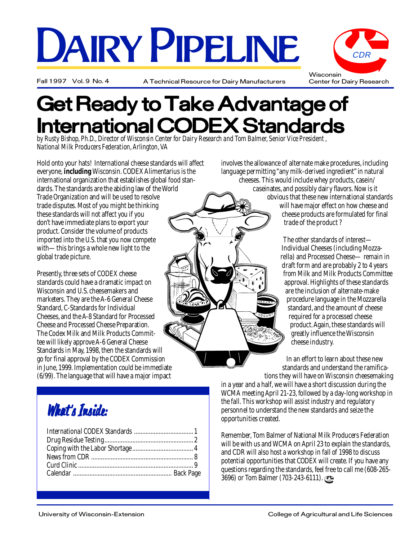# DAIRY PIPELINE

Fall 1997 Vol. 9 No. 4 A Technical Resource for Dairy Manufacturers



### Get Ready to Take Advantage of **International CODEX Standards**

*by Rusty Bishop, Ph.D., Director of Wisconsin Center for Dairy Research and Tom Balmer, Senior Vice President , National Milk Producers Federation, Arlington, VA*

Hold onto your hats! International cheese standards will affect everyone, **including** Wisconsin. CODEX Alimentarius is the international organization that establishes global food standards. The standards are the abiding law of the World Trade Organization and will be used to resolve trade disputes. Most of you might be thinking these standards will not affect you if you don't have immediate plans to export your product. Consider the volume of products imported into the U.S. that you now compete with—this brings a whole new light to the global trade picture.

Presently, three sets of CODEX cheese standards could have a dramatic impact on Wisconsin and U.S. cheesemakers and marketers. They are the A-6 General Cheese Standard, C-Standards for Individual Cheeses, and the A-8 Standard for Processed Cheese and Processed Cheese Preparation. The Codex Milk and Milk Products Committee will likely approve A-6 General Cheese Standards in May, 1998, then the standards will go for final approval by the CODEX Commission in June, 1999. Implementation could be immediate (6/99). The language that will have a major impact

involves the allowance of alternate make procedures, including language permitting "any milk-derived ingredient" in natural cheeses. This would include whey products, casein/ caseinates, and possibly dairy flavors. Now is it obvious that these new international standards will have major effect on how cheese and cheese products are formulated for final trade of the product ?

> The other standards of interest— Individual Cheeses (including Mozzarella) and Processed Cheese— remain in draft form and are probably 2 to 4 years from Milk and Milk Products Committee approval. Highlights of these standards are the inclusion of alternate-make procedure language in the Mozzarella standard, and the amount of cheese required for a processed cheese product. Again, these standards will greatly influence the Wisconsin cheese industry.

In an effort to learn about these new standards and understand the ramifications they will have on Wisconsin cheesemaking

in a year and a half, we will have a short discussion during the WCMA meeting April 21-23, followed by a day-long workshop in the fall. This workshop will assist industry and regulatory personnel to understand the new standards and seize the opportunities created.

Remember, Tom Balmer of National Milk Producers Federation will be with us and WCMA on April 23 to explain the standards, and CDR will also host a workshop in fall of 1998 to discuss potential opportunities that CODEX will create. If you have any questions regarding the standards, feel free to call me (608-265- 3696) or Tom Balmer (703-243-6111).

### What's Inside: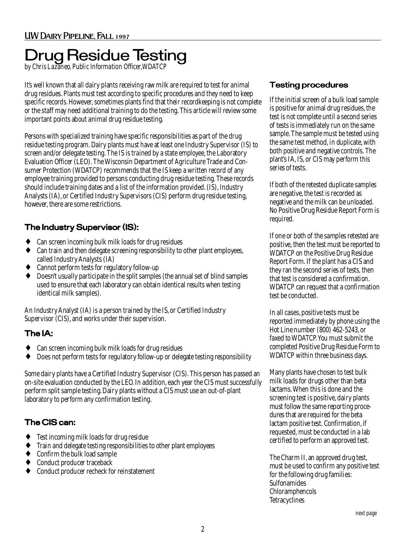## Drug Residue Testing *by Chris Lazaneo, Public Information Officer,WDATCP*

It's well known that all dairy plants receiving raw milk are required to test for animal drug residues. Plants must test according to specific procedures and they need to keep specific records. However, sometimes plants find that their recordkeeping is not complete or the staff may need additional training to do the testing. This article will review some important points about animal drug residue testing.

Persons with specialized training have specific responsibilities as part of the drug residue testing program. Dairy plants must have at least one Industry Supervisor (IS) to screen and/or delegate testing. The IS is trained by a state employee, the Laboratory Evaluation Officer (LEO). The Wisconsin Department of Agriculture Trade and Consumer Protection (WDATCP) recommends that the IS keep a written record of any employee training provided to persons conducting drug residue testing. These records should include training dates and a list of the information provided. (IS), Industry Analysts (IA), or Certified Industry Supervisors (CIS) perform drug residue testing, however, there are some restrictions.

#### The Industry Supervisor (IS):

- Can screen incoming bulk milk loads for drug residues
- Can train and then delegate screening responsibility to other plant employees, called Industry Analysts (IA)
- Cannot perform tests for regulatory follow-up
- Doesn't usually participate in the split samples (the annual set of blind samples used to ensure that each laboratory can obtain identical results when testing identical milk samples).

An Industry Analyst (IA) is a person trained by the IS, or Certified Industry Supervisor (CIS), and works under their supervision.

#### The IA:

- Can screen incoming bulk milk loads for drug residues
- Does not perform tests for regulatory follow-up or delegate testing responsibility

Some dairy plants have a Certified Industry Supervisor (CIS). This person has passed an on-site evaluation conducted by the LEO. In addition, each year the CIS must successfully perform split sample testing. Dairy plants without a CIS must use an out-of-plant laboratory to perform any confirmation testing.

#### The CIS can:

- Test incoming milk loads for drug residue
- Train and delegate testing responsibilities to other plant employees
- Confirm the bulk load sample
- Conduct producer traceback
- Conduct producer recheck for reinstatement

#### Testing procedures

If the initial screen of a bulk load sample is positive for animal drug residues, the test is not complete until a second series of tests is immediately run on the same sample. The sample must be tested using the same test method, in duplicate, with both positive and negative controls. The plant's IA, IS, or CIS may perform this series of tests.

If both of the retested duplicate samples are negative, the test is recorded as negative and the milk can be unloaded. No Positive Drug Residue Report Form is required.

If one or both of the samples retested are positive, then the test must be reported to WDATCP on the Positive Drug Residue Report Form. If the plant has a CIS and they ran the second series of tests, then that test is considered a confirmation. WDATCP can request that a confirmation test be conducted.

In all cases, positive tests must be reported immediately by phone using the Hot Line number (800) 462-5243, or faxed to WDATCP. You must submit the completed Positive Drug Residue Form to WDATCP within three business days.

Many plants have chosen to test bulk milk loads for drugs other than beta lactams. When this is done and the screening test is positive, dairy plants must follow the same reporting procedures that are required for the beta lactam positive test. Confirmation, if requested, must be conducted in a lab certified to perform an approved test.

The Charm II, an approved drug test, must be used to confirm any positive test for the following drug families: Sulfonamides Chloramphencols **Tetracyclines**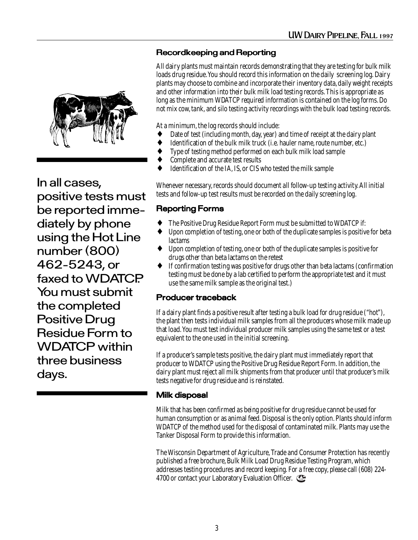#### Recordkeeping and Reporting

All dairy plants must maintain records demonstrating that they are testing for bulk milk loads drug residue. You should record this information on the daily screening log. Dairy plants may choose to combine and incorporate their inventory data, daily weight receipts and other information into their bulk milk load testing records. This is appropriate as long as the minimum WDATCP required information is contained on the log forms. Do not mix cow, tank, and silo testing activity recordings with the bulk load testing records.

At a minimum, the log records should include:

- ♦ Date of test (including month, day, year) and time of receipt at the dairy plant
- Identification of the bulk milk truck (i.e. hauler name, route number, etc.)
- Type of testing method performed on each bulk milk load sample
- Complete and accurate test results
- Identification of the IA, IS, or CIS who tested the milk sample

Whenever necessary, records should document all follow-up testing activity. All initial tests and follow-up test results must be recorded on the daily screening log.

#### Reporting Forms

- The Positive Drug Residue Report Form must be submitted to WDATCP if:
- Upon completion of testing, one or both of the duplicate samples is positive for beta lactams
- Upon completion of testing, one or both of the duplicate samples is positive for drugs other than beta lactams on the retest
- ♦ If confirmation testing was positive for drugs other than beta lactams (confirmation testing must be done by a lab certified to perform the appropriate test and it must use the same milk sample as the original test.)

#### Producer traceback

If a dairy plant finds a positive result after testing a bulk load for drug residue ("hot"), the plant then tests individual milk samples from all the producers whose milk made up that load. You must test individual producer milk samples using the same test or a test equivalent to the one used in the initial screening.

If a producer's sample tests positive, the dairy plant must immediately report that producer to WDATCP using the Positive Drug Residue Report Form. In addition, the dairy plant must reject all milk shipments from that producer until that producer's milk tests negative for drug residue and is reinstated.

#### Milk disposal

Milk that has been confirmed as being positive for drug residue cannot be used for human consumption or as animal feed. Disposal is the only option. Plants should inform WDATCP of the method used for the disposal of contaminated milk. Plants may use the Tanker Disposal Form to provide this information.

The Wisconsin Department of Agriculture, Trade and Consumer Protection has recently published a free brochure, Bulk Milk Load Drug Residue Testing Program, which addresses testing procedures and record keeping. For a free copy, please call (608) 224- 4700 or contact your Laboratory Evaluation Officer.



In all cases, positive tests must be reported immediately by phone using the Hot Line number (800) 462-5243, or faxed to WDATCP. You must submit the completed Positive Drug Residue Form to WDATCP within three business days.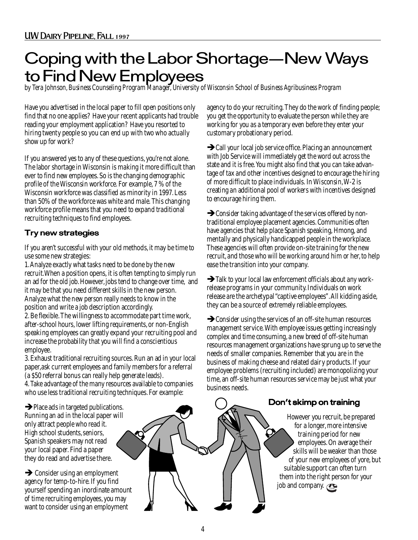### Coping with the Labor Shortage—New Ways to Find New Employees

*by Tera Johnson, Business Counseling Program Manager, University of Wisconsin School of Business Agribusiness Program*

Have you advertised in the local paper to fill open positions only find that no one applies? Have your recent applicants had trouble reading your employment application? Have you resorted to hiring twenty people so you can end up with two who actually show up for work?

If you answered yes to any of these questions, you're not alone. The labor shortage in Wisconsin is making it more difficult than ever to find new employees. So is the changing demographic profile of the Wisconsin workforce. For example, 7 % of the Wisconsin workforce was classified as minority in 1997. Less than 50% of the workforce was white and male. This changing workforce profile means that you need to expand traditional recruiting techniques to find employees.

#### Try new strategies

If you aren't successful with your old methods, it may be time to use some new strategies:

1. Analyze exactly what tasks need to be done by the new recruit.When a position opens, it is often tempting to simply run an ad for the old job. However, jobs tend to change over time, and it may be that you need different skills in the new person. Analyze what the new person really needs to know in the position and write a job description accordingly.

2. Be flexible. The willingness to accommodate part time work, after-school hours, lower lifting requirements, or non-English speaking employees can greatly expand your recruiting pool and increase the probability that you will find a conscientious employee.

3. Exhaust traditional recruiting sources. Run an ad in your local paper,ask current employees and family members for a referral (a \$50 referral bonus can really help generate leads).

4. Take advantage of the many resources available to companies who use less traditional recruiting techniques. For example:

 $\rightarrow$  Place ads in targeted publications. Running an ad in the local paper will only attract people who read it. High school students, seniors, Spanish speakers may not read your local paper. Find a paper they do read and advertise there.

 $\rightarrow$  Consider using an employment agency for temp-to-hire. If you find yourself spending an inordinate amount of time recruiting employees, you may want to consider using an employment

agency to do your recruiting. They do the work of finding people; you get the opportunity to evaluate the person while they are working for you as a temporary even before they enter your customary probationary period.

 $\rightarrow$  Call your local job service office. Placing an announcement with Job Service will immediately get the word out across the state and it is free. You might also find that you can take advantage of tax and other incentives designed to encourage the hiring of more difficult to place individuals. In Wisconsin, W-2 is creating an additional pool of workers with incentives designed to encourage hiring them.

 $\rightarrow$  Consider taking advantage of the services offered by nontraditional employee placement agencies. Communities often have agencies that help place Spanish speaking, Hmong, and mentally and physically handicapped people in the workplace. These agencies will often provide on-site training for the new recruit, and those who will be working around him or her, to help ease the transition into your company.

 $\rightarrow$  Talk to your local law enforcement officials about any workrelease programs in your community. Individuals on work release are the archetypal "captive employees". All kidding aside, they can be a source of extremely reliable employees.

 $\rightarrow$  Consider using the services of an off-site human resources management service. With employee issues getting increasingly complex and time consuming, a new breed of off-site human resources management organizations have sprung up to serve the needs of smaller companies. Remember that you are in the business of making cheese and related dairy products. If your employee problems (recruiting included) are monopolizing your time, an off-site human resources service may be just what your business needs.

#### Don't skimp on training

However you recruit, be prepared for a longer, more intensive training period for new employees. On average their skills will be weaker than those of your new employees of yore, but suitable support can often turn them into the right person for your job and company.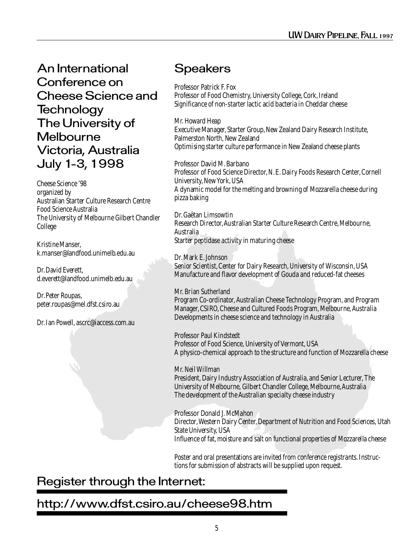An International Conference on Cheese Science and **Technology** The University of **Melbourne** Victoria, Australia July 1-3, 1998

Cheese Science '98 organized by Australian Starter Culture Research Centre Food Science Australia The University of Melbourne Gilbert Chandler College

Kristine Manser, k.manser@landfood.unimelb.edu.au

Dr. David Everett, d.everett@landfood.unimelb.edu.au

Dr. Peter Roupas, peter.roupas@mel.dfst.csiro.au

Dr. Ian Powell, ascrc@iaccess.com.au

#### **Speakers**

Professor Patrick F. Fox Professor of Food Chemistry, University College, Cork, Ireland Significance of non-starter lactic acid bacteria in Cheddar cheese

Mr. Howard Heap Executive Manager, Starter Group, New Zealand Dairy Research Institute, Palmerston North, New Zealand Optimising starter culture performance in New Zealand cheese plants

Professor David M. Barbano Professor of Food Science Director, N. E. Dairy Foods Research Center, Cornell University, New York, USA A dynamic model for the melting and browning of Mozzarella cheese during pizza baking

Dr. Gaëtan Limsowtin Research Director, Australian Starter Culture Research Centre, Melbourne, Australia Starter peptidase activity in maturing cheese

Dr. Mark E. Johnson Senior Scientist, Center for Dairy Research, University of Wisconsin, USA Manufacture and flavor development of Gouda and reduced-fat cheeses

Mr. Brian Sutherland Program Co-ordinator, Australian Cheese Technology Program, and Program Manager, CSIRO, Cheese and Cultured Foods Program, Melbourne, Australia Developments in cheese science and technology in Australia

Professor Paul Kindstedt Professor of Food Science, University of Vermont, USA A physico-chemical approach to the structure and function of Mozzarella cheese

Mr. Neil Willman President, Dairy Industry Association of Australia, and Senior Lecturer, The University of Melbourne, Gilbert Chandler College, Melbourne, Australia The development of the Australian specialty cheese industry

Professor Donald J. McMahon Director, Western Dairy Center, Department of Nutrition and Food Sciences, Utah State University, USA Influence of fat, moisture and salt on functional properties of Mozzarella cheese

Poster and oral presentations are invited from conference registrants. Instructions for submission of abstracts will be supplied upon request.

### Register through the Internet:

#### http://www.dfst.csiro.au/cheese98.htm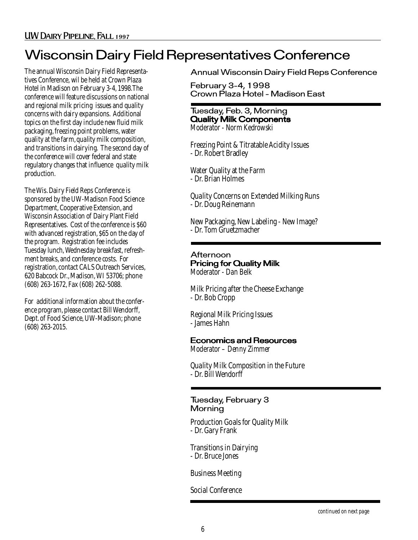### Wisconsin Dairy Field Representatives Conference

The annual Wisconsin Dairy Field Representatives Conference, wil be held at Crown Plaza Hotel in Madison on February 3-4, 1998.The conference will feature discussions on national and regional milk pricing issues and quality concerns with dairy expansions. Additional topics on the first day include new fluid milk packaging, freezing point problems, water quality at the farm, quality milk composition, and transitions in dairying. The second day of the conference will cover federal and state regulatory changes that influence quality milk production.

The Wis. Dairy Field Reps Conference is sponsored by the UW-Madison Food Science Department, Cooperative Extension, and Wisconsin Association of Dairy Plant Field Representatives. Cost of the conference is \$60 with advanced registration, \$65 on the day of the program. Registration fee includes Tuesday lunch, Wednesday breakfast, refreshment breaks, and conference costs. For registration, contact CALS Outreach Services, 620 Babcock Dr., Madison, WI 53706; phone (608) 263-1672, Fax (608) 262-5088.

For additional information about the conference program, please contact Bill Wendorff, Dept. of Food Science, UW-Madison; phone (608) 263-2015.

Annual Wisconsin Dairy Field Reps Conference

February 3-4, 1998 Crown Plaza Hotel - Madison East

#### Tuesday, Feb. 3, Morning Quality Milk Components *Moderator - Norm Kedrowski*

Freezing Point & Titratable Acidity Issues - Dr. Robert Bradley

Water Quality at the Farm - Dr. Brian Holmes

Quality Concerns on Extended Milking Runs - Dr. Doug Reinemann

New Packaging, New Labeling - New Image? - Dr. Tom Gruetzmacher

#### Afternoon Pricing for Quality Milk *Moderator - Dan Belk*

Milk Pricing after the Cheese Exchange - Dr. Bob Cropp

Regional Milk Pricing Issues - James Hahn

#### Economics and Resources

*Moderator – Denny Zimmer*

Quality Milk Composition in the Future - Dr. Bill Wendorff

#### Tuesday, February 3 **Morning**

Production Goals for Quality Milk - Dr. Gary Frank

Transitions in Dairying - Dr. Bruce Jones

Business Meeting

Social Conference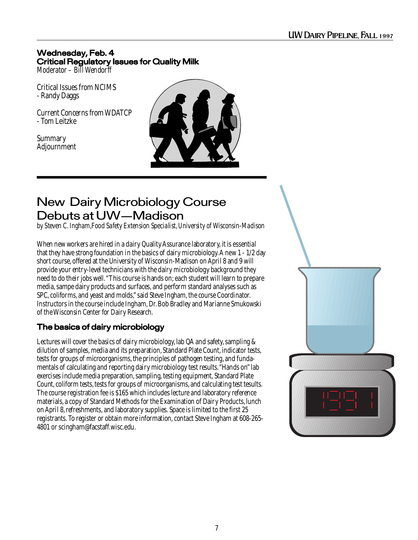#### Wednesday, Feb. 4 Critical Regulatory Issues for Quality Milk *Moderator – Bill Wendorff*

Critical Issues from NCIMS - Randy Daggs

Current Concerns from WDATCP - Tom Leitzke

Summary Adjournment



#### New Dairy Microbiology Course Debuts at UW—Madison

*by Steven C. Ingham,Food Safety Extension Specialist, University of Wisconsin-Madison*

When new workers are hired in a dairy Quality Assurance laboratory, it is essential that they have strong foundation in the basics of dairy microbiology. A new 1 - 1/2 day short course, offered at the University of Wisconsin-Madison on April 8 and 9 will provide your entry-level technicians with the dairy microbiology background they need to do their jobs well. "This course is hands on; each student will learn to prepare media, sampe dairy products and surfaces, and perform standard analyses such as SPC, coliforms, and yeast and molds," said Steve Ingham, the course Coordinator. Instructors in the course include Ingham, Dr. Bob Bradley and Marianne Smukowski of the Wisconsin Center for Dairy Research.

#### The basics of dairy microbiology

Lectures will cover the basics of dairy microbiology, lab QA and safety, sampling & dilution of samples, media and its preparation, Standard Plate Count, indicator tests, tests for groups of microorganisms, the principles of pathogen testing, and fundamentals of calculating and reporting dairy microbiology test results. "Hands on" lab exercises include media preparation, sampling, testing equipment, Standard Plate Count, coliform tests, tests for groups of microorganisms, and calculating test tesults. The course registration fee is \$165 which includes lecture and laboratory reference materials, a copy of Standard Methods for the Examination of Dairy Products, lunch on April 8, refreshments, and laboratory supplies. Space is limited to the first 25 registrants. To register or obtain more information, contact Steve Ingham at 608-265- 4801 or scingham@facstaff.wisc.edu.

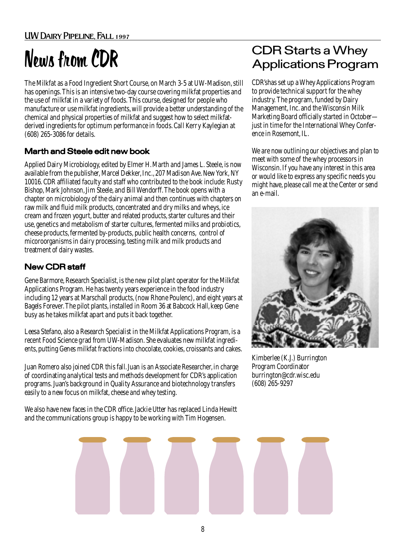The Milkfat as a Food Ingredient Short Course, on March 3-5 at UW-Madison, still has openings. This is an intensive two-day course covering milkfat properties and the use of milkfat in a variety of foods. This course, designed for people who manufacture or use milkfat ingredients, will provide a better understanding of the chemical and physical properties of milkfat and suggest how to select milkfatderived ingredients for optimum performance in foods. Call Kerry Kaylegian at (608) 265-3086 for details.

#### Marth and Steele edit new book

Applied Dairy Microbiology, edited by Elmer H. Marth and James L. Steele, is now available from the publisher, Marcel Dekker, Inc., 207 Madison Ave. New York, NY 10016. CDR affiliated faculty and staff who contributed to the book include: Rusty Bishop, Mark Johnson, Jim Steele, and Bill Wendorff. The book opens with a chapter on microbiology of the dairy animal and then continues with chapters on raw milk and fluid milk products, concentrated and dry milks and wheys, ice cream and frozen yogurt, butter and related products, starter cultures and their use, genetics and metabolism of starter cultures, fermented milks and probiotics, cheese products, fermented by-products, public health concerns, control of micoroorganisms in dairy processing, testing milk and milk products and treatment of dairy wastes.

#### New CDR staff

Gene Barmore, Research Specialist, is the new pilot plant operator for the Milkfat Applications Program. He has twenty years experience in the food industry including 12 years at Marschall products, (now Rhone Poulenc), and eight years at Bagels Forever. The pilot plants, installed in Room 36 at Babcock Hall, keep Gene busy as he takes milkfat apart and puts it back together.

Leesa Stefano, also a Research Specialist in the Milkfat Applications Program, is a recent Food Science grad from UW-Madison. She evaluates new milkfat ingredients, putting Genes milkfat fractions into chocolate, cookies, croissants and cakes.

Juan Romero also joined CDR this fall. Juan is an Associate Researcher, in charge of coordinating analytical tests and methods development for CDR's application programs. Juan's background in Quality Assurance and biotechnology transfers easily to a new focus on milkfat, cheese and whey testing.

We also have new faces in the CDR office. Jackie Utter has replaced Linda Hewitt and the communications group is happy to be working with Tim Hogensen.

#### News from CDR Starts a Whey<br>Applications Program Applications Program

CDR'shas set up a Whey Applications Program to provide technical support for the whey industry. The program, funded by Dairy Management, Inc. and the Wisconsin Milk Marketing Board officially started in October just in time for the International Whey Conference in Rosemont, IL.

We are now outlining our objectives and plan to meet with some of the whey processors in Wisconsin. If you have any interest in this area or would like to express any specific needs you might have, please call me at the Center or send an e-mail.



Kimberlee (K.J.) Burrington Program Coordinator burrington@cdr.wisc.edu (608) 265-9297

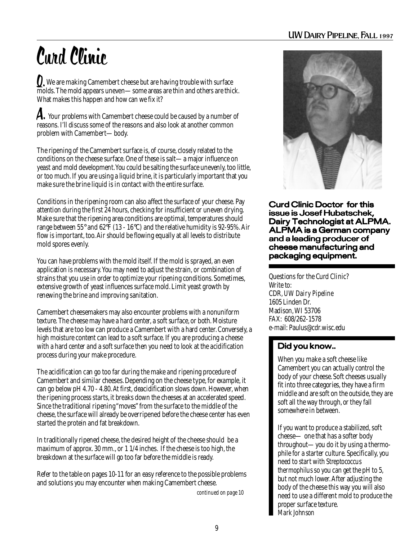#### UW Dairy Pipeline, Fall 1997

# Curd Clinic

**Q**, We are making Camembert cheese but are having trouble with surface<br>molds. The mold appears uneven some areas are thin and others are thin molds. The mold appears uneven—some areas are thin and others are thick. What makes this happen and how can we fix it?

 $\mathcal A$ . Your problems with Camembert cheese could be caused by a number of reasons. I'll discuss some of the reasons and also look at another common problem with Camembert—body.

The ripening of the Camembert surface is, of course, closely related to the conditions on the cheese surface. One of these is salt—a major influence on yeast and mold development. You could be salting the surface unevenly, too little, or too much. If you are using a liquid brine, it is particularly important that you make sure the brine liquid is in contact with the entire surface.

Conditions in the ripening room can also affect the surface of your cheese. Pay attention during the first 24 hours, checking for insufficient or uneven drying. Make sure that the ripening area conditions are optimal, temperatures should range between 55 $^{\circ}$  and 62 $^{\circ}$ F (13 - 16 $^{\circ}$ C) and the relative humidity is 92-95%. Air flow is important, too. Air should be flowing equally at all levels to distribute mold spores evenly.

You can have problems with the mold itself. If the mold is sprayed, an even application is necessary. You may need to adjust the strain, or combination of strains that you use in order to optimize your ripening conditions. Sometimes, extensive growth of yeast influences surface mold. Limit yeast growth by renewing the brine and improving sanitation.

Camembert cheesemakers may also encounter problems with a nonuniform texture. The cheese may have a hard center, a soft surface, or both. Moisture levels that are too low can produce a Camembert with a hard center. Conversely, a high moisture content can lead to a soft surface. If you are producing a cheese with a hard center and a soft surface then you need to look at the acidification process during your make procedure.

The acidification can go too far during the make and ripening procedure of Camembert and similar cheeses. Depending on the cheese type, for example, it can go below pH 4.70 - 4.80. At first, deacidification slows down. However, when the ripening process starts, it breaks down the cheeses at an accelerated speed. Since the traditional ripening "moves" from the surface to the middle of the cheese, the surface will already be overripened before the cheese center has even started the protein and fat breakdown.

In traditionally ripened cheese, the desired height of the cheese should be a maximum of approx. 30 mm., or 1 1/4 inches. If the cheese is too high, the breakdown at the surface will go too far before the middle is ready.

Refer to the table on pages 10-11 for an easy reference to the possible problems and solutions you may encounter when making Camembert cheese.

*continued on page 10*



Curd Clinic Doctor for this issue is Josef Hubatschek, Dairy Technologist at ALPMA. ALPMA is a German company and a leading producer of cheese manufacturing and packaging equipment.

Questions for the Curd Clinic? Write to: CDR, *UW Dairy Pipeline* 1605 Linden Dr. Madison, WI 53706 FAX: 608/262-1578 e-mail: Paulus@cdr.wisc.edu

#### Did you know..

When you make a soft cheese like Camembert you can actually control the body of your cheese. Soft cheeses usually fit into three categories, they have a firm middle and are soft on the outside, they are soft all the way through, or they fall somewhere in between.

If you want to produce a stabilized, soft cheese— one that has a softer body throughout—you do it by using a thermophile for a starter culture. Specifically, you need to start with *Streptococcus thermophilus* so you can get the pH to 5, but not much lower. After adjusting the body of the cheese this way you will also need to use a different mold to produce the proper surface texture. *Mark Johnson*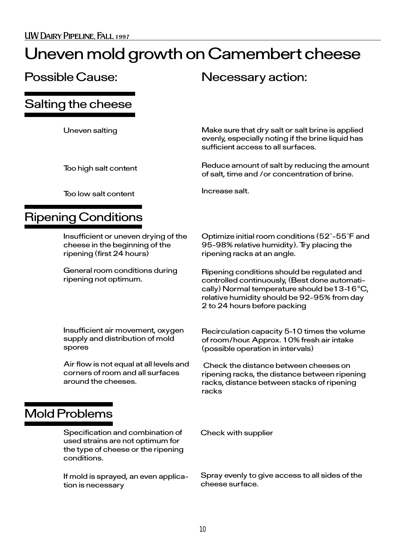### Uneven mold growth on Camembert cheese

#### Possible Cause: Necessary action:

Increase salt.

Salting the cheese

Uneven salting

Too high salt content

Make sure that dry salt or salt brine is applied evenly, especially noting if the brine liquid has sufficient access to all surfaces.

Reduce amount of salt by reducing the amount of salt, time and /or concentration of brine.

Too low salt content

#### Ripening Conditions

Insufficient or uneven drying of the cheese in the beginning of the ripening (first 24 hours)

General room conditions during ripening not optimum.

Optimize initial room conditions (52˚-55˚F and 95-98% relative humidity). Try placing the ripening racks at an angle.

Ripening conditions should be regulated and controlled continuously, (Best done automatically) Normal temperature should be13-16 $\degree$ C, relative humidity should be 92-95% from day 2 to 24 hours before packing

Insufficient air movement, oxygen supply and distribution of mold spores

Air flow is not equal at all levels and corners of room and all surfaces around the cheeses.

Recirculation capacity 5-10 times the volume of room/hour. Approx. 10% fresh air intake (possible operation in intervals)

 Check the distance between cheeses on ripening racks, the distance between ripening racks, distance between stacks of ripening racks

#### Mold Problems

Specification and combination of used strains are not optimum for the type of cheese or the ripening conditions.

If mold is sprayed, an even application is necessary

Check with supplier

Spray evenly to give access to all sides of the cheese surface.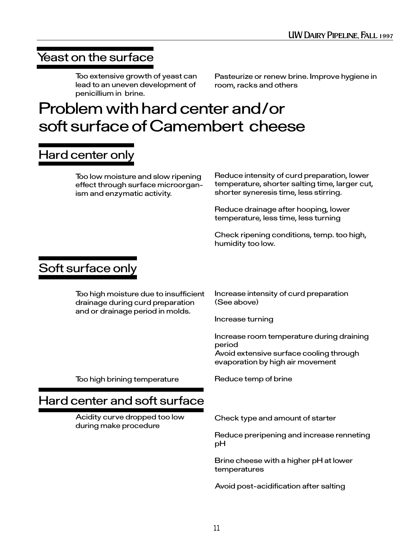#### Yeast on the surface

Too extensive growth of yeast can lead to an uneven development of penicillium in brine.

Pasteurize or renew brine. Improve hygiene in room, racks and others

### Problem with hard center and/or soft surface of Camembert cheese

#### Hard center only

Too low moisture and slow ripening effect through surface microorganism and enzymatic activity.

Reduce intensity of curd preparation, lower temperature, shorter salting time, larger cut, shorter syneresis time, less stirring.

Reduce drainage after hooping, lower temperature, less time, less turning

Check ripening conditions, temp. too high, humidity too low.

### Soft surface only

Too high moisture due to insufficient drainage during curd preparation and or drainage period in molds.

Increase intensity of curd preparation (See above)

Increase turning

Reduce temp of brine

Increase room temperature during draining period Avoid extensive surface cooling through evaporation by high air movement

Too high brining temperature

#### Hard center and soft surface

Acidity curve dropped too low during make procedure

Check type and amount of starter

Reduce preripening and increase renneting pH

Brine cheese with a higher pH at lower temperatures

Avoid post-acidification after salting